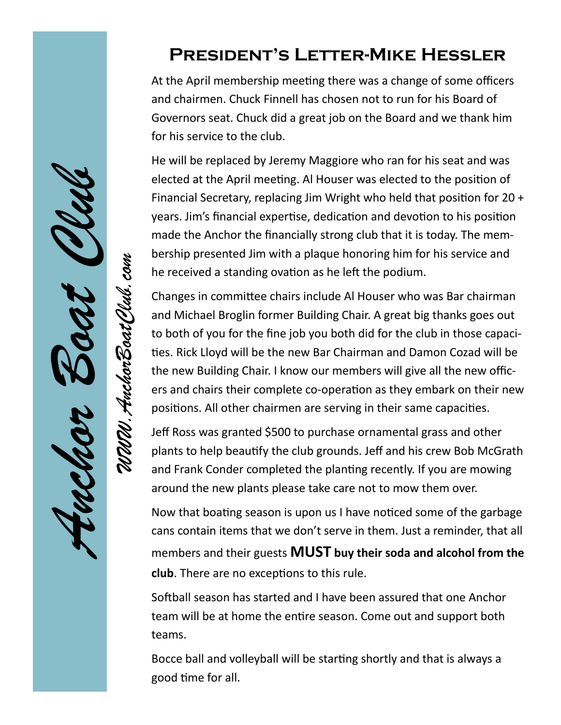#### **President's Letter-Mike Hessler**

At the April membership meeting there was a change of some officers and chairmen. Chuck Finnell has chosen not to run for his Board of Governors seat. Chuck did a great job on the Board and we thank him for his service to the club.

He will be replaced by Jeremy Maggiore who ran for his seat and was elected at the April meeting. Al Houser was elected to the position of Financial Secretary, replacing Jim Wright who held that position for 20 + years. Jim's financial expertise, dedication and devotion to his position made the Anchor the financially strong club that it is today. The membership presented Jim with a plaque honoring him for his service and he received a standing ovation as he left the podium.

Changes in committee chairs include Al Houser who was Bar chairman and Michael Broglin former Building Chair. A great big thanks goes out to both of you for the fine job you both did for the club in those capacities. Rick Lloyd will be the new Bar Chairman and Damon Cozad will be the new Building Chair. I know our members will give all the new officers and chairs their complete co-operation as they embark on their new positions. All other chairmen are serving in their same capacities.

*Anchor Boat Club*

*WWW.AnchorBoatClub.com*

1. AnchorBoai

Jeff Ross was granted \$500 to purchase ornamental grass and other plants to help beautify the club grounds. Jeff and his crew Bob McGrath and Frank Conder completed the planting recently. If you are mowing around the new plants please take care not to mow them over.

Now that boating season is upon us I have noticed some of the garbage cans contain items that we don't serve in them. Just a reminder, that all members and their guests **MUST buy their soda and alcohol from the club**. There are no exceptions to this rule.

Softball season has started and I have been assured that one Anchor team will be at home the entire season. Come out and support both teams.

Bocce ball and volleyball will be starting shortly and that is always a good time for all.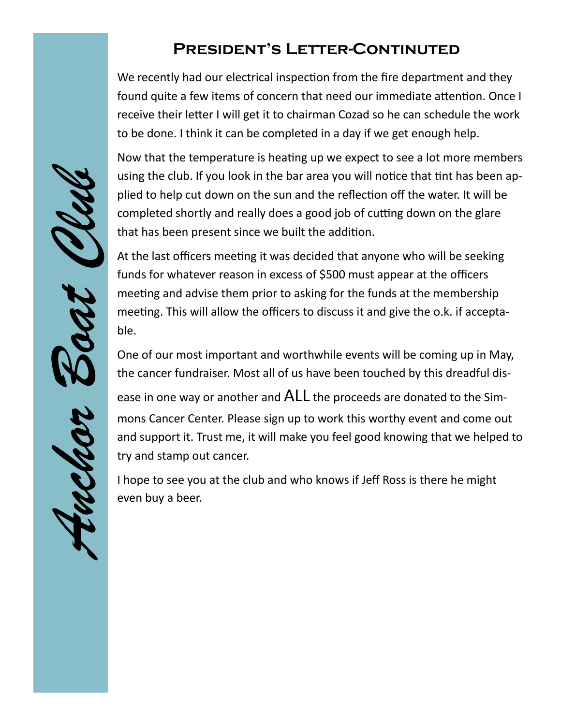#### **President's Letter-Continuted**

We recently had our electrical inspection from the fire department and they found quite a few items of concern that need our immediate attention. Once I receive their letter I will get it to chairman Cozad so he can schedule the work to be done. I think it can be completed in a day if we get enough help.

Now that the temperature is heating up we expect to see a lot more members using the club. If you look in the bar area you will notice that tint has been applied to help cut down on the sun and the reflection off the water. It will be completed shortly and really does a good job of cutting down on the glare that has been present since we built the addition.

At the last officers meeting it was decided that anyone who will be seeking funds for whatever reason in excess of \$500 must appear at the officers meeting and advise them prior to asking for the funds at the membership meeting. This will allow the officers to discuss it and give the o.k. if acceptable.

One of our most important and worthwhile events will be coming up in May, the cancer fundraiser. Most all of us have been touched by this dreadful dis-

ease in one way or another and ALL the proceeds are donated to the Simmons Cancer Center. Please sign up to work this worthy event and come out and support it. Trust me, it will make you feel good knowing that we helped to try and stamp out cancer.

I hope to see you at the club and who knows if Jeff Ross is there he might even buy a beer.

*Anchor Boat Club* MA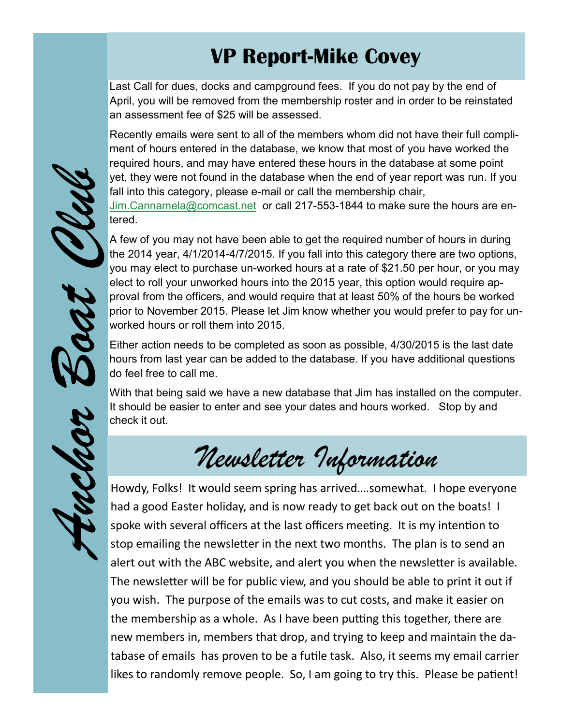### **VP Report-Mike Covey**

Last Call for dues, docks and campground fees. If you do not pay by the end of April, you will be removed from the membership roster and in order to be reinstated an assessment fee of \$25 will be assessed.

Recently emails were sent to all of the members whom did not have their full compliment of hours entered in the database, we know that most of you have worked the required hours, and may have entered these hours in the database at some point yet, they were not found in the database when the end of year report was run. If you fall into this category, please e-mail or call the membership chair,

[Jim.Cannamela@comcast.net](mailto:Jim.Cannamela@comcast.net) or call 217-553-1844 to make sure the hours are entered.

A few of you may not have been able to get the required number of hours in during the 2014 year, 4/1/2014-4/7/2015. If you fall into this category there are two options, you may elect to purchase un-worked hours at a rate of \$21.50 per hour, or you may elect to roll your unworked hours into the 2015 year, this option would require approval from the officers, and would require that at least 50% of the hours be worked prior to November 2015. Please let Jim know whether you would prefer to pay for unworked hours or roll them into 2015.

Either action needs to be completed as soon as possible, 4/30/2015 is the last date hours from last year can be added to the database. If you have additional questions do feel free to call me.

With that being said we have a new database that Jim has installed on the computer. It should be easier to enter and see your dates and hours worked. Stop by and check it out.

## *Newsletter Information*

Howdy, Folks! It would seem spring has arrived….somewhat. I hope everyone had a good Easter holiday, and is now ready to get back out on the boats! I spoke with several officers at the last officers meeting. It is my intention to stop emailing the newsletter in the next two months. The plan is to send an alert out with the ABC website, and alert you when the newsletter is available. The newsletter will be for public view, and you should be able to print it out if you wish. The purpose of the emails was to cut costs, and make it easier on the membership as a whole. As I have been putting this together, there are new members in, members that drop, and trying to keep and maintain the database of emails has proven to be a futile task. Also, it seems my email carrier likes to randomly remove people. So, I am going to try this. Please be patient!



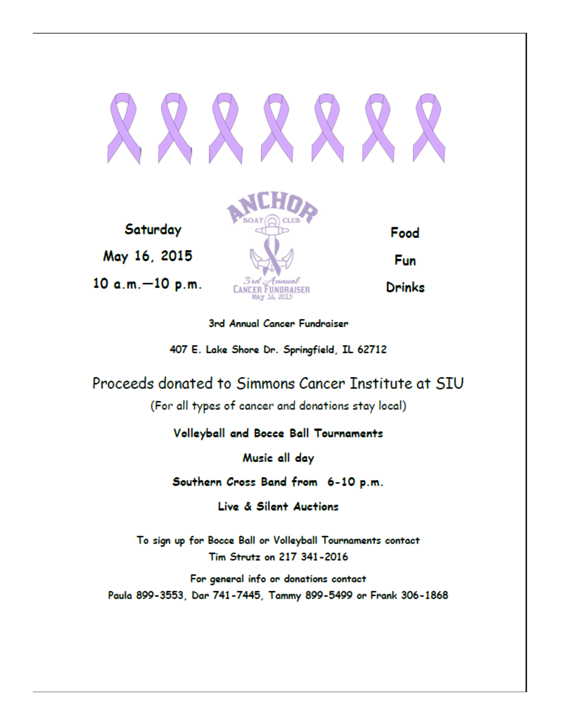

Saturday May 16, 2015  $10 a.m. -10 p.m.$ 



Food

Fun

3rd Annual Cancer Fundraiser

407 E. Lake Shore Dr. Springfield, IL 62712

Proceeds donated to Simmons Cancer Institute at SIU

(For all types of cancer and donations stay local)

#### Volleyball and Bocce Ball Tournaments

Music all day

Southern Cross Band from 6-10 p.m.

Live & Silent Auctions

To sign up for Bocce Ball or Volleyball Tournaments contact Tim Strutz on 217 341-2016

For general info or donations contact Paula 899-3553, Dar 741-7445, Tammy 899-5499 or Frank 306-1868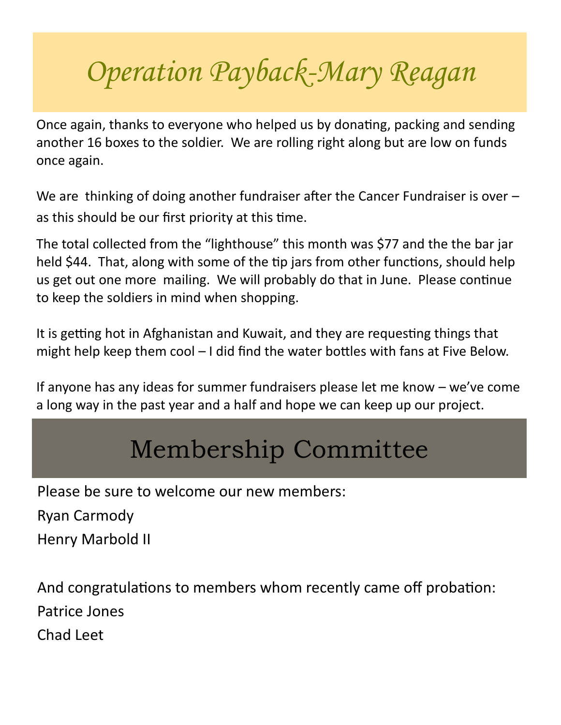# *Operation Payback-Mary Reagan*

Once again, thanks to everyone who helped us by donating, packing and sending another 16 boxes to the soldier. We are rolling right along but are low on funds once again.

We are thinking of doing another fundraiser after the Cancer Fundraiser is over – as this should be our first priority at this time.

The total collected from the "lighthouse" this month was \$77 and the the bar jar held \$44. That, along with some of the tip jars from other functions, should help us get out one more mailing. We will probably do that in June. Please continue to keep the soldiers in mind when shopping.

It is getting hot in Afghanistan and Kuwait, and they are requesting things that might help keep them cool – I did find the water bottles with fans at Five Below.

If anyone has any ideas for summer fundraisers please let me know – we've come a long way in the past year and a half and hope we can keep up our project.

## Membership Committee

Please be sure to welcome our new members:

Ryan Carmody

Henry Marbold II

And congratulations to members whom recently came off probation: Patrice Jones Chad Leet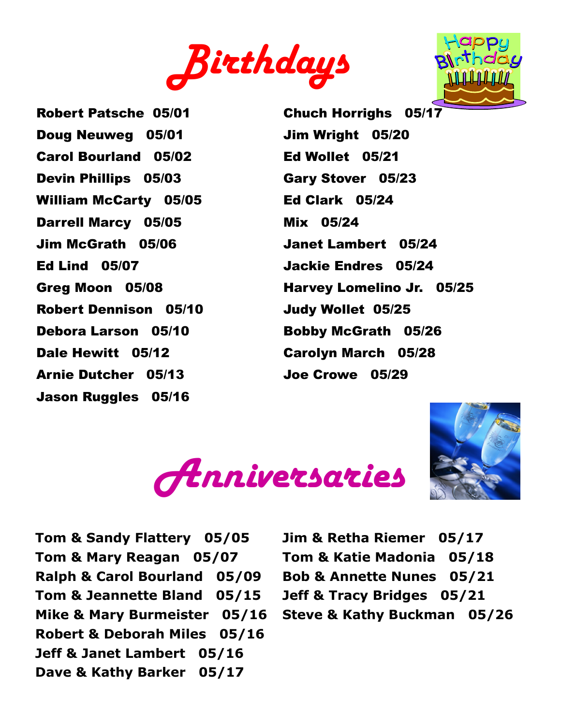



Robert Patsche 05/01 Doug Neuweg 05/01 Carol Bourland 05/02 Devin Phillips 05/03 William McCarty 05/05 Darrell Marcy 05/05 Jim McGrath 05/06 Ed Lind 05/07 Greg Moon 05/08 Robert Dennison 05/10 Debora Larson 05/10 Dale Hewitt 05/12 Arnie Dutcher 05/13 Jason Ruggles 05/16

Chuch Horrighs 05/17 Jim Wright 05/20 Ed Wollet 05/21 Gary Stover 05/23 Ed Clark 05/24 Mix 05/24 Janet Lambert 05/24 Jackie Endres 05/24 Harvey Lomelino Jr. 05/25 Judy Wollet 05/25 Bobby McGrath 05/26 Carolyn March 05/28 Joe Crowe 05/29





**Tom & Sandy Flattery 05/05 Tom & Mary Reagan 05/07 Ralph & Carol Bourland 05/09 Tom & Jeannette Bland 05/15 Mike & Mary Burmeister 05/16 Robert & Deborah Miles 05/16 Jeff & Janet Lambert 05/16 Dave & Kathy Barker 05/17**

**Jim & Retha Riemer 05/17 Tom & Katie Madonia 05/18 Bob & Annette Nunes 05/21 Jeff & Tracy Bridges 05/21 Steve & Kathy Buckman 05/26**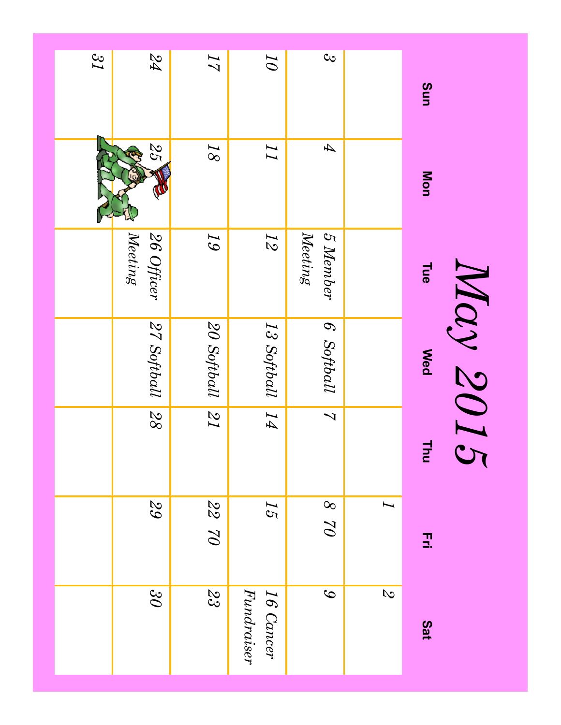| Sun             | Mon                        | <b>Tue</b>            | May 2015<br><b>Med</b> | Thu                     | 곺                               | Sat                       |
|-----------------|----------------------------|-----------------------|------------------------|-------------------------|---------------------------------|---------------------------|
|                 |                            |                       |                        |                         | I                               | $\mathcal{O}$             |
| $\infty$        | $\boldsymbol{\mathcal{A}}$ | 5 Member<br>Meeting   | 6 Softball             | $\overline{\mathbf{v}}$ | $\infty$<br>$\overline{Q}$      | $\mathcal{C}$             |
| $\overline{O}$  | I                          | $\overline{2}$        | 13 Softball            | $\overline{H}$          | 55                              | Fundraiser<br>$16$ Cancer |
| $\overline{17}$ | $\sqrt{8}$                 | 19                    | 20 Softball            | $\overline{15}$         | $\frac{2}{3}$<br>$\overline{Q}$ | $\frac{2}{3}$             |
| 74              | 25                         | Meeting<br>26 Officer | 27 Softball            | $\overline{88}$         | 29                              | $\partial \mathcal{E}$    |
| 21              |                            |                       |                        |                         |                                 |                           |